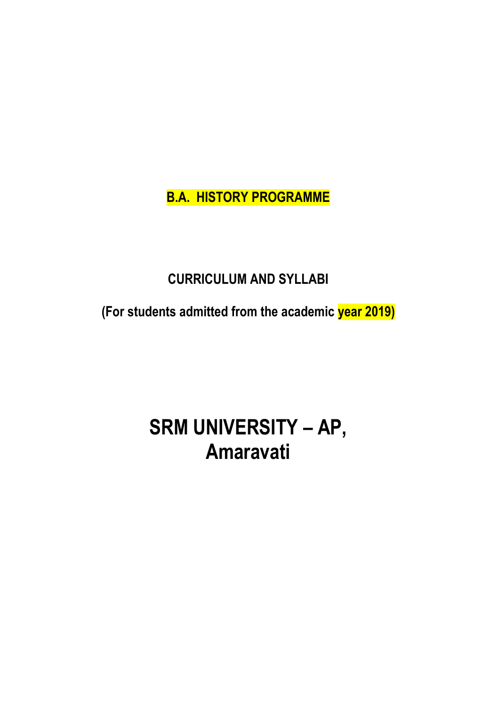**B.A. HISTORY PROGRAMME**

## **CURRICULUM AND SYLLABI**

**(For students admitted from the academic year 2019)**

# **SRM UNIVERSITY – AP, Amaravati**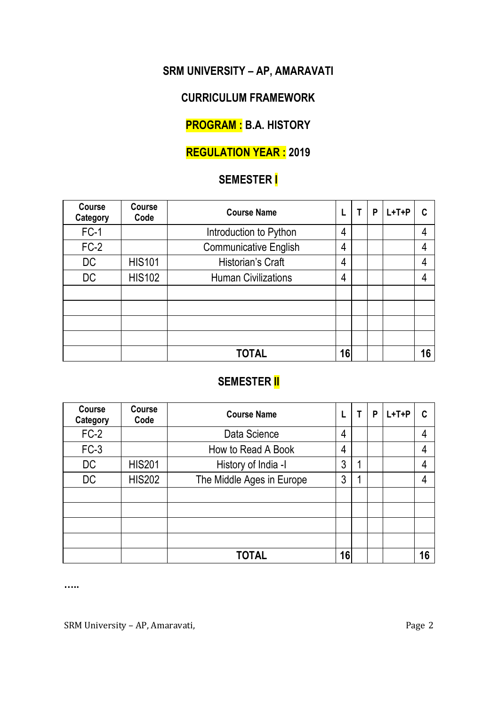## **SRM UNIVERSITY – AP, AMARAVATI**

## **CURRICULUM FRAMEWORK**

## **PROGRAM : B.A. HISTORY**

## **REGULATION YEAR : 2019**

## **SEMESTER I**

| Course<br>Category | Course<br>Code | <b>Course Name</b>         |    | Т | P | $L+T+P$ | C  |
|--------------------|----------------|----------------------------|----|---|---|---------|----|
| $FC-1$             |                | Introduction to Python     | 4  |   |   |         | 4  |
| $FC-2$             |                | Communicative English      | 4  |   |   |         | 4  |
| DC                 | <b>HIS101</b>  | Historian's Craft          | 4  |   |   |         | 4  |
| DC                 | <b>HIS102</b>  | <b>Human Civilizations</b> | 4  |   |   |         | 4  |
|                    |                |                            |    |   |   |         |    |
|                    |                |                            |    |   |   |         |    |
|                    |                |                            |    |   |   |         |    |
|                    |                |                            |    |   |   |         |    |
|                    |                | <b>TOTAL</b>               | 16 |   |   |         | 16 |

## **SEMESTER II**

| Course<br>Category | Course<br>Code | <b>Course Name</b>        | L  | т | P | $L+T+P$ | C  |
|--------------------|----------------|---------------------------|----|---|---|---------|----|
| $FC-2$             |                | Data Science              | 4  |   |   |         | 4  |
| $FC-3$             |                | How to Read A Book        | 4  |   |   |         | 4  |
| DC                 | <b>HIS201</b>  | History of India -I       | 3  |   |   |         | 4  |
| DC                 | <b>HIS202</b>  | The Middle Ages in Europe | 3  | 4 |   |         | 4  |
|                    |                |                           |    |   |   |         |    |
|                    |                |                           |    |   |   |         |    |
|                    |                |                           |    |   |   |         |    |
|                    |                |                           |    |   |   |         |    |
|                    |                | TOTAL                     | 16 |   |   |         | 16 |

**…..**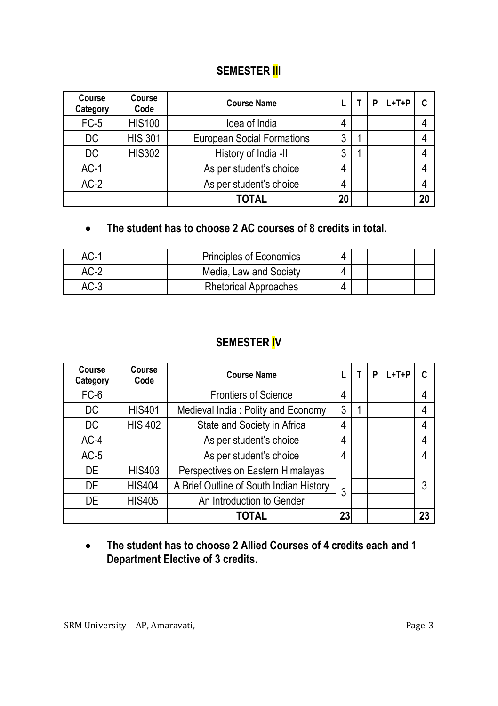#### **SEMESTER III**

| Course<br>Category | Course<br>Code | <b>Course Name</b>                |    | P | $L+T+P$ |    |
|--------------------|----------------|-----------------------------------|----|---|---------|----|
| $FC-5$             | <b>HIS100</b>  | Idea of India                     | 4  |   |         |    |
| DC                 | <b>HIS 301</b> | <b>European Social Formations</b> | 3  |   |         |    |
| DC                 | <b>HIS302</b>  | History of India -II              | 3  |   |         |    |
| $AC-1$             |                | As per student's choice           | 4  |   |         |    |
| $AC-2$             |                | As per student's choice           | 4  |   |         |    |
|                    |                | <b>TOTAL</b>                      | 20 |   |         | 20 |

## **The student has to choose 2 AC courses of 8 credits in total.**

| AC-1   | Principles of Economics      |  |  |  |
|--------|------------------------------|--|--|--|
| $AC-2$ | Media, Law and Society       |  |  |  |
| $AC-3$ | <b>Rhetorical Approaches</b> |  |  |  |

## **SEMESTER IV**

| Course<br>Category | Course<br>Code | <b>Course Name</b>                      |    | т | P | $L+T+P$ | C  |
|--------------------|----------------|-----------------------------------------|----|---|---|---------|----|
| $FC-6$             |                | <b>Frontiers of Science</b>             | 4  |   |   |         | 4  |
| DC                 | <b>HIS401</b>  | Medieval India: Polity and Economy      | 3  |   |   |         | 4  |
| DC                 | <b>HIS 402</b> | State and Society in Africa             | 4  |   |   |         | 4  |
| $AC-4$             |                | As per student's choice                 | 4  |   |   |         | 4  |
| $AC-5$             |                | As per student's choice                 | 4  |   |   |         | 4  |
| DE.                | <b>HIS403</b>  | Perspectives on Eastern Himalayas       |    |   |   |         |    |
| DE                 | <b>HIS404</b>  | A Brief Outline of South Indian History | 3  |   |   |         | 3  |
| <b>DE</b>          | <b>HIS405</b>  | An Introduction to Gender               |    |   |   |         |    |
|                    |                | TOTAL                                   | 23 |   |   |         | 23 |

 **The student has to choose 2 Allied Courses of 4 credits each and 1 Department Elective of 3 credits.**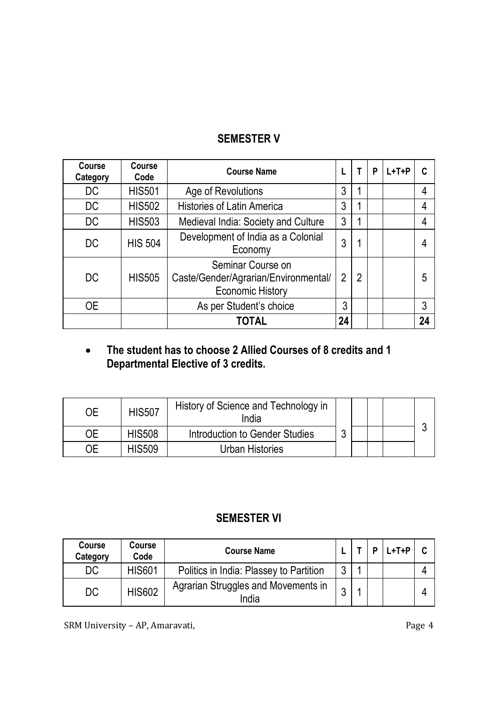## **SEMESTER V**

| Course<br>Category | Course<br>Code | <b>Course Name</b>                                                            | L  | т              | P | $L+T+P$ | c  |
|--------------------|----------------|-------------------------------------------------------------------------------|----|----------------|---|---------|----|
| DC                 | <b>HIS501</b>  | Age of Revolutions                                                            | 3  | 1              |   |         | 4  |
| DC                 | <b>HIS502</b>  | <b>Histories of Latin America</b>                                             | 3  |                |   |         | 4  |
| DC                 | <b>HIS503</b>  | Medieval India: Society and Culture                                           | 3  |                |   |         | 4  |
| DC                 | <b>HIS 504</b> | Development of India as a Colonial<br>Economy                                 | 3  |                |   |         |    |
| DC                 | <b>HIS505</b>  | Seminar Course on<br>Caste/Gender/Agrarian/Environmental/<br>Economic History | 2  | $\mathfrak{p}$ |   |         | 5  |
| 0E                 |                | As per Student's choice                                                       | 3  |                |   |         | 3  |
|                    |                | <b>TOTAL</b>                                                                  | 24 |                |   |         | 24 |

#### **The student has to choose 2 Allied Courses of 8 credits and 1 Departmental Elective of 3 credits.**

| OE | <b>HIS507</b> | History of Science and Technology in<br>India |   |  |  |
|----|---------------|-----------------------------------------------|---|--|--|
| 0E | <b>HIS508</b> | Introduction to Gender Studies                | ົ |  |  |
| OΕ | <b>HIS509</b> | Urban Histories                               |   |  |  |

## **SEMESTER VI**

| Course<br>Category | Course<br>Code | <b>Course Name</b>                           |   |  | $L+T+P$ |  |
|--------------------|----------------|----------------------------------------------|---|--|---------|--|
| DC                 | HIS601         | Politics in India: Plassey to Partition      | ◠ |  |         |  |
| DC                 | <b>HIS602</b>  | Agrarian Struggles and Movements in<br>India |   |  |         |  |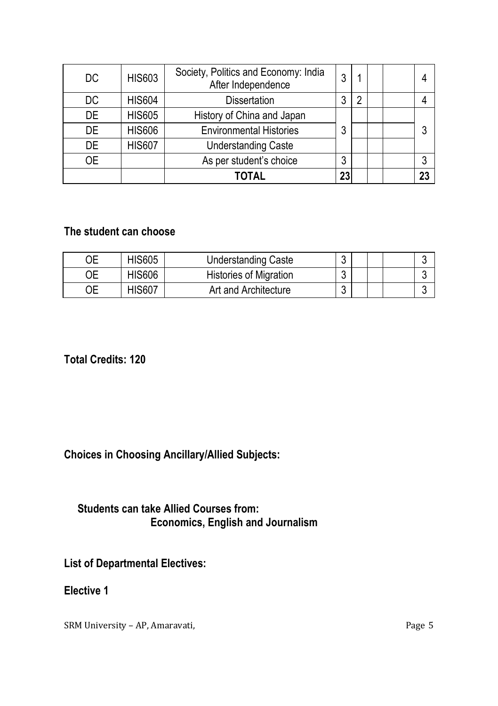| DC        | <b>HIS603</b> | Society, Politics and Economy: India<br>After Independence | 3  |   |  |    |
|-----------|---------------|------------------------------------------------------------|----|---|--|----|
| DC        | <b>HIS604</b> | <b>Dissertation</b>                                        | 3  | 2 |  |    |
| <b>DE</b> | <b>HIS605</b> | History of China and Japan                                 |    |   |  |    |
| <b>DE</b> | <b>HIS606</b> | <b>Environmental Histories</b>                             | 3  |   |  | 3  |
| <b>DE</b> | <b>HIS607</b> | <b>Understanding Caste</b>                                 |    |   |  |    |
| 0E        |               | As per student's choice                                    | 3  |   |  | 3  |
|           |               | TOTAL                                                      | 23 |   |  | 23 |

#### **The student can choose**

| ЭE | <b>HIS605</b> | Understanding Caste           | ◠<br>J      |  | ັ |
|----|---------------|-------------------------------|-------------|--|---|
| ОE | <b>HIS606</b> | <b>Histories of Migration</b> | $\sim$<br>J |  | ັ |
| ЭE | HIS607        | Art and Architecture          | $\sim$<br>u |  | ັ |

**Total Credits: 120**

#### **Choices in Choosing Ancillary/Allied Subjects:**

#### **Students can take Allied Courses from: Economics, English and Journalism**

**List of Departmental Electives:**

**Elective 1**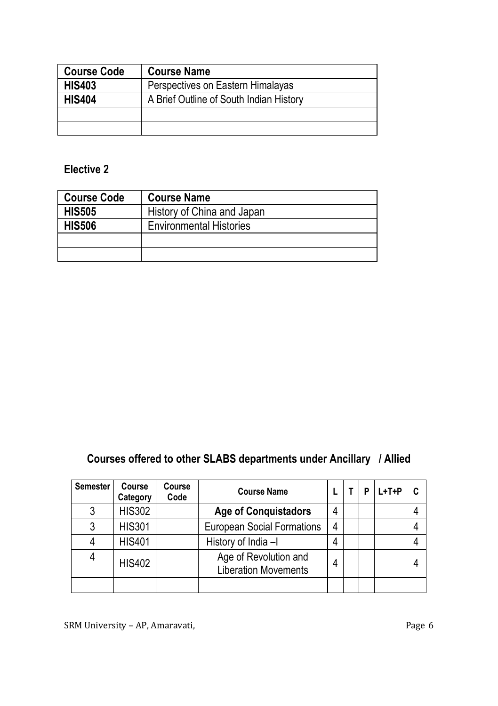| <b>Course Code</b> | <b>Course Name</b>                      |
|--------------------|-----------------------------------------|
| <b>HIS403</b>      | Perspectives on Eastern Himalayas       |
| <b>HIS404</b>      | A Brief Outline of South Indian History |
|                    |                                         |
|                    |                                         |

## **Elective 2**

| <b>Course Code</b> | <b>Course Name</b>             |
|--------------------|--------------------------------|
| <b>HIS505</b>      | History of China and Japan     |
| <b>HIS506</b>      | <b>Environmental Histories</b> |
|                    |                                |
|                    |                                |

## **Courses offered to other SLABS departments under Ancillary / Allied**

| <b>Semester</b> | Course<br>Category | Course<br>Code | <b>Course Name</b>                                   |   |  | $L+T+P$ |  |
|-----------------|--------------------|----------------|------------------------------------------------------|---|--|---------|--|
|                 | <b>HIS302</b>      |                | <b>Age of Conquistadors</b>                          | 4 |  |         |  |
|                 | <b>HIS301</b>      |                | <b>European Social Formations</b>                    | 4 |  |         |  |
|                 | <b>HIS401</b>      |                | History of India -I                                  | 4 |  |         |  |
| 4               | <b>HIS402</b>      |                | Age of Revolution and<br><b>Liberation Movements</b> | 4 |  |         |  |
|                 |                    |                |                                                      |   |  |         |  |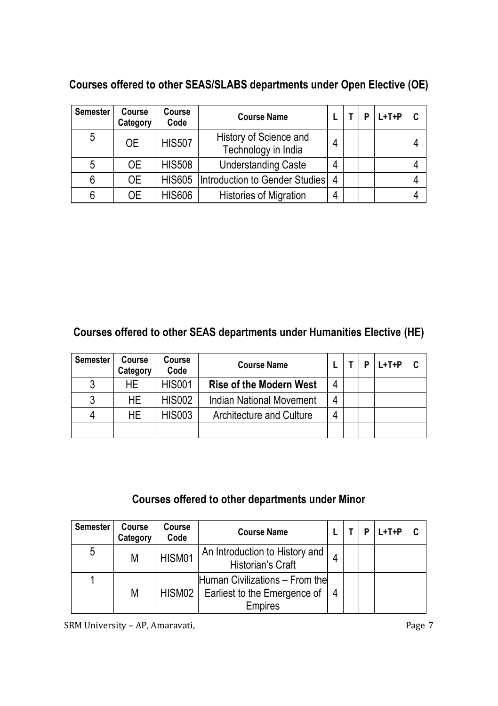| <b>Semester</b> | Course<br>Category | Course<br>Code | <b>Course Name</b>                            |   |  | $L+T+P$ |  |
|-----------------|--------------------|----------------|-----------------------------------------------|---|--|---------|--|
| 5               | 0E                 | <b>HIS507</b>  | History of Science and<br>Technology in India | 4 |  |         |  |
| 5               | 0E                 | <b>HIS508</b>  | <b>Understanding Caste</b>                    | 4 |  |         |  |
| 6               | 0E                 | <b>HIS605</b>  | Introduction to Gender Studies                | 4 |  |         |  |
| 6               | ОE                 | <b>HIS606</b>  | <b>Histories of Migration</b>                 | 4 |  |         |  |

#### **Courses offered to other SEAS/SLABS departments under Open Elective (OE)**

#### **Courses offered to other SEAS departments under Humanities Elective (HE)**

| <b>Semester</b> | Course<br>Category | Course<br>Code | <b>Course Name</b>             |   |  | $L+T+P$ |  |
|-----------------|--------------------|----------------|--------------------------------|---|--|---------|--|
| ર               | HF.                | <b>HIS001</b>  | <b>Rise of the Modern West</b> | 4 |  |         |  |
| 3               | HF.                | <b>HIS002</b>  | Indian National Movement       | 4 |  |         |  |
|                 | HF.                | <b>HIS003</b>  | Architecture and Culture       | 4 |  |         |  |
|                 |                    |                |                                |   |  |         |  |

## **Courses offered to other departments under Minor**

| <b>Semester</b> | Course<br>Category | Course<br>Code | <b>Course Name</b>                                                               |   |  | L+T+P | C |
|-----------------|--------------------|----------------|----------------------------------------------------------------------------------|---|--|-------|---|
| 5               | М                  | HISM01         | An Introduction to History and<br>Historian's Craft                              |   |  |       |   |
|                 | М                  | HISM02         | Human Civilizations - From the<br>Earliest to the Emergence of<br><b>Empires</b> | 4 |  |       |   |